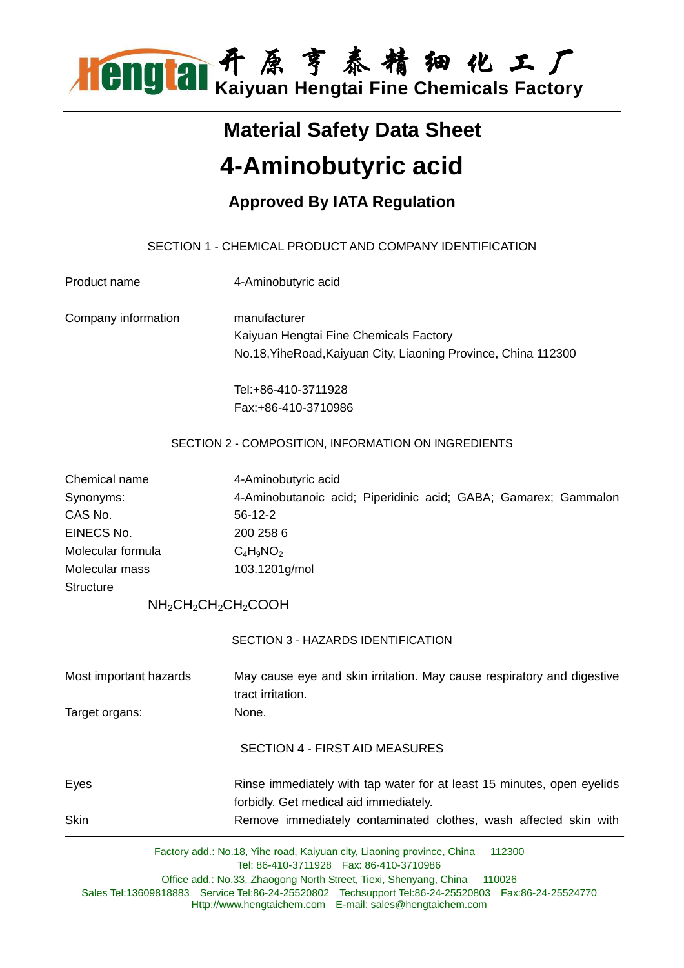

# **Material Safety Data Sheet 4-Aminobutyric acid**

### **Approved By IATA Regulation**

### SECTION 1 - CHEMICAL PRODUCT AND COMPANY IDENTIFICATION

| Product name           | 4-Aminobutyric acid                                                                                                       |  |  |  |  |
|------------------------|---------------------------------------------------------------------------------------------------------------------------|--|--|--|--|
| Company information    | manufacturer                                                                                                              |  |  |  |  |
|                        | Kaiyuan Hengtai Fine Chemicals Factory                                                                                    |  |  |  |  |
|                        | No.18, YiheRoad, Kaiyuan City, Liaoning Province, China 112300                                                            |  |  |  |  |
|                        | Tel:+86-410-3711928                                                                                                       |  |  |  |  |
|                        | Fax:+86-410-3710986                                                                                                       |  |  |  |  |
|                        | SECTION 2 - COMPOSITION, INFORMATION ON INGREDIENTS                                                                       |  |  |  |  |
| Chemical name          | 4-Aminobutyric acid                                                                                                       |  |  |  |  |
| Synonyms:              | 4-Aminobutanoic acid; Piperidinic acid; GABA; Gamarex; Gammalon                                                           |  |  |  |  |
| CAS No.                | $56-12-2$                                                                                                                 |  |  |  |  |
| EINECS No.             | 200 258 6                                                                                                                 |  |  |  |  |
| Molecular formula      | $C_4H_9NO_2$                                                                                                              |  |  |  |  |
| Molecular mass         | 103.1201g/mol                                                                                                             |  |  |  |  |
| <b>Structure</b>       |                                                                                                                           |  |  |  |  |
|                        | NH <sub>2</sub> CH <sub>2</sub> CH <sub>2</sub> CH <sub>2</sub> COOH                                                      |  |  |  |  |
|                        | SECTION 3 - HAZARDS IDENTIFICATION                                                                                        |  |  |  |  |
| Most important hazards | May cause eye and skin irritation. May cause respiratory and digestive<br>tract irritation.                               |  |  |  |  |
| Target organs:         | None.                                                                                                                     |  |  |  |  |
|                        | <b>SECTION 4 - FIRST AID MEASURES</b>                                                                                     |  |  |  |  |
| Eyes                   | Rinse immediately with tap water for at least 15 minutes, open eyelids                                                    |  |  |  |  |
|                        | forbidly. Get medical aid immediately.                                                                                    |  |  |  |  |
| Skin                   | Remove immediately contaminated clothes, wash affected skin with                                                          |  |  |  |  |
|                        | Factory add.: No.18, Yihe road, Kaiyuan city, Liaoning province, China<br>112300                                          |  |  |  |  |
|                        | Tel: 86-410-3711928    Fax: 86-410-3710986<br>Office add.: No.33, Zhaogong North Street, Tiexi, Shenyang, China<br>110026 |  |  |  |  |

Sales Tel:13609818883 Service Tel:86-24-25520802 Techsupport Tel:86-24-25520803 Fax:86-24-25524770 Http://www.hengtaichem.com E-mail: sales@hengtaichem.com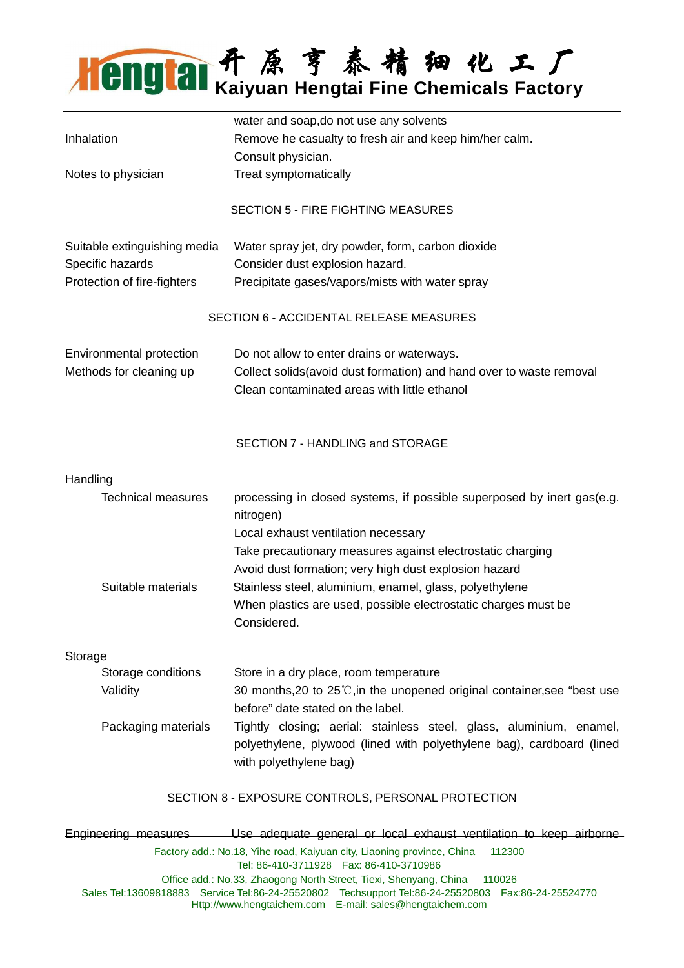## 开 原 亨 泰 精 细 化 工 厂 **Kaiyuan Hengtai Fine Chemicals Factory**

|                                                 |                              | water and soap, do not use any solvents                                             |  |  |  |
|-------------------------------------------------|------------------------------|-------------------------------------------------------------------------------------|--|--|--|
| Inhalation                                      |                              | Remove he casualty to fresh air and keep him/her calm.                              |  |  |  |
|                                                 |                              | Consult physician.                                                                  |  |  |  |
| Notes to physician                              |                              | Treat symptomatically                                                               |  |  |  |
|                                                 |                              | <b>SECTION 5 - FIRE FIGHTING MEASURES</b>                                           |  |  |  |
|                                                 | Suitable extinguishing media | Water spray jet, dry powder, form, carbon dioxide                                   |  |  |  |
| Specific hazards<br>Protection of fire-fighters |                              | Consider dust explosion hazard.                                                     |  |  |  |
|                                                 |                              | Precipitate gases/vapors/mists with water spray                                     |  |  |  |
|                                                 |                              | SECTION 6 - ACCIDENTAL RELEASE MEASURES                                             |  |  |  |
|                                                 | Environmental protection     | Do not allow to enter drains or waterways.                                          |  |  |  |
| Methods for cleaning up                         |                              | Collect solids(avoid dust formation) and hand over to waste removal                 |  |  |  |
|                                                 |                              | Clean contaminated areas with little ethanol                                        |  |  |  |
|                                                 |                              |                                                                                     |  |  |  |
|                                                 |                              | SECTION 7 - HANDLING and STORAGE                                                    |  |  |  |
| Handling                                        |                              |                                                                                     |  |  |  |
|                                                 | <b>Technical measures</b>    | processing in closed systems, if possible superposed by inert gas(e.g.<br>nitrogen) |  |  |  |
|                                                 |                              | Local exhaust ventilation necessary                                                 |  |  |  |
|                                                 |                              | Take precautionary measures against electrostatic charging                          |  |  |  |
|                                                 |                              | Avoid dust formation; very high dust explosion hazard                               |  |  |  |
|                                                 | Suitable materials           | Stainless steel, aluminium, enamel, glass, polyethylene                             |  |  |  |
|                                                 |                              | When plastics are used, possible electrostatic charges must be                      |  |  |  |
|                                                 |                              | Considered.                                                                         |  |  |  |
| Storage                                         |                              |                                                                                     |  |  |  |
|                                                 | Storage conditions           | Store in a dry place, room temperature                                              |  |  |  |
|                                                 | Validity                     | 30 months, 20 to $25^{\circ}$ , in the unopened original container, see "best use   |  |  |  |
|                                                 |                              | before" date stated on the label.                                                   |  |  |  |
|                                                 | Packaging materials          | Tightly closing; aerial: stainless steel, glass, aluminium, enamel,                 |  |  |  |
|                                                 |                              | polyethylene, plywood (lined with polyethylene bag), cardboard (lined               |  |  |  |
|                                                 |                              | with polyethylene bag)                                                              |  |  |  |
|                                                 |                              | SECTION 8 - EXPOSURE CONTROLS, PERSONAL PROTECTION                                  |  |  |  |
|                                                 |                              |                                                                                     |  |  |  |

Factory add.: No.18, Yihe road, Kaiyuan city, Liaoning province, China 112300 Tel: 86-410-3711928 Fax: 86-410-3710986 Office add.: No.33, Zhaogong North Street, Tiexi, Shenyang, China 110026 Sales Tel:13609818883 Service Tel:86-24-25520802 Techsupport Tel:86-24-25520803 Fax:86-24-25524770 Http://www.hengtaichem.com E-mail: sales@hengtaichem.com Engineering measuresUse adequate general or local exhaust ventilation to keep airborne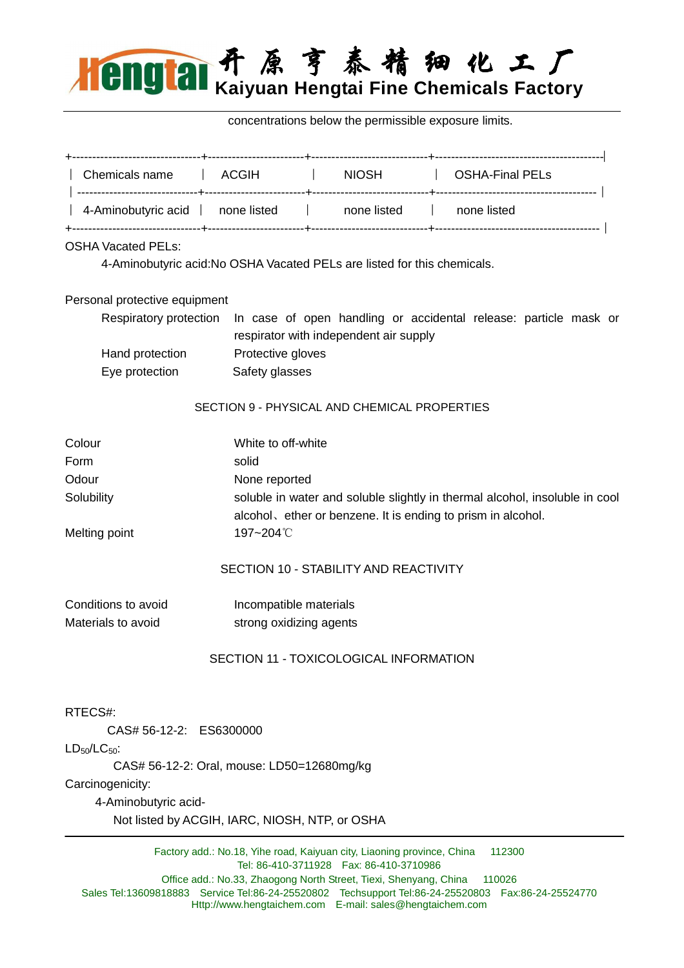

concentrations below the permissible exposure limits.

|                                                |  |                                            | Chemicals name   ACGIH   NIOSH   OSHA-Final PELs                         |                                                                                         |  |  |  |
|------------------------------------------------|--|--------------------------------------------|--------------------------------------------------------------------------|-----------------------------------------------------------------------------------------|--|--|--|
|                                                |  |                                            | 4-Aminobutyric acid   none listed   none listed   none listed            |                                                                                         |  |  |  |
| <b>OSHA Vacated PELs:</b>                      |  |                                            |                                                                          |                                                                                         |  |  |  |
|                                                |  |                                            | 4-Aminobutyric acid: No OSHA Vacated PELs are listed for this chemicals. |                                                                                         |  |  |  |
| Personal protective equipment                  |  |                                            |                                                                          |                                                                                         |  |  |  |
|                                                |  |                                            | respirator with independent air supply                                   | Respiratory protection In case of open handling or accidental release: particle mask or |  |  |  |
| Hand protection                                |  | Protective gloves                          |                                                                          |                                                                                         |  |  |  |
| Eye protection                                 |  | Safety glasses                             |                                                                          |                                                                                         |  |  |  |
|                                                |  |                                            | SECTION 9 - PHYSICAL AND CHEMICAL PROPERTIES                             |                                                                                         |  |  |  |
| Colour                                         |  | White to off-white                         |                                                                          |                                                                                         |  |  |  |
| Form                                           |  | solid                                      |                                                                          |                                                                                         |  |  |  |
| Odour                                          |  | None reported                              |                                                                          |                                                                                         |  |  |  |
| Solubility                                     |  |                                            | alcohol, ether or benzene. It is ending to prism in alcohol.             | soluble in water and soluble slightly in thermal alcohol, insoluble in cool             |  |  |  |
| Melting point                                  |  | 197~204°C                                  |                                                                          |                                                                                         |  |  |  |
|                                                |  |                                            | SECTION 10 - STABILITY AND REACTIVITY                                    |                                                                                         |  |  |  |
| Conditions to avoid                            |  | Incompatible materials                     |                                                                          |                                                                                         |  |  |  |
| Materials to avoid                             |  | strong oxidizing agents                    |                                                                          |                                                                                         |  |  |  |
|                                                |  |                                            | SECTION 11 - TOXICOLOGICAL INFORMATION                                   |                                                                                         |  |  |  |
|                                                |  |                                            |                                                                          |                                                                                         |  |  |  |
| RTECS#:                                        |  |                                            |                                                                          |                                                                                         |  |  |  |
| CAS# 56-12-2: ES6300000                        |  |                                            |                                                                          |                                                                                         |  |  |  |
| $LD_{50}/LC_{50}$ :                            |  |                                            |                                                                          |                                                                                         |  |  |  |
| Carcinogenicity:                               |  | CAS# 56-12-2: Oral, mouse: LD50=12680mg/kg |                                                                          |                                                                                         |  |  |  |
| 4-Aminobutyric acid-                           |  |                                            |                                                                          |                                                                                         |  |  |  |
| Not listed by ACGIH, IARC, NIOSH, NTP, or OSHA |  |                                            |                                                                          |                                                                                         |  |  |  |

Factory add.: No.18, Yihe road, Kaiyuan city, Liaoning province, China 112300 Tel: 86-410-3711928 Fax: 86-410-3710986 Office add.: No.33, Zhaogong North Street, Tiexi, Shenyang, China 110026 Sales Tel:13609818883 Service Tel:86-24-25520802 Techsupport Tel:86-24-25520803 Fax:86-24-25524770 Http://www.hengtaichem.com E-mail: sales@hengtaichem.com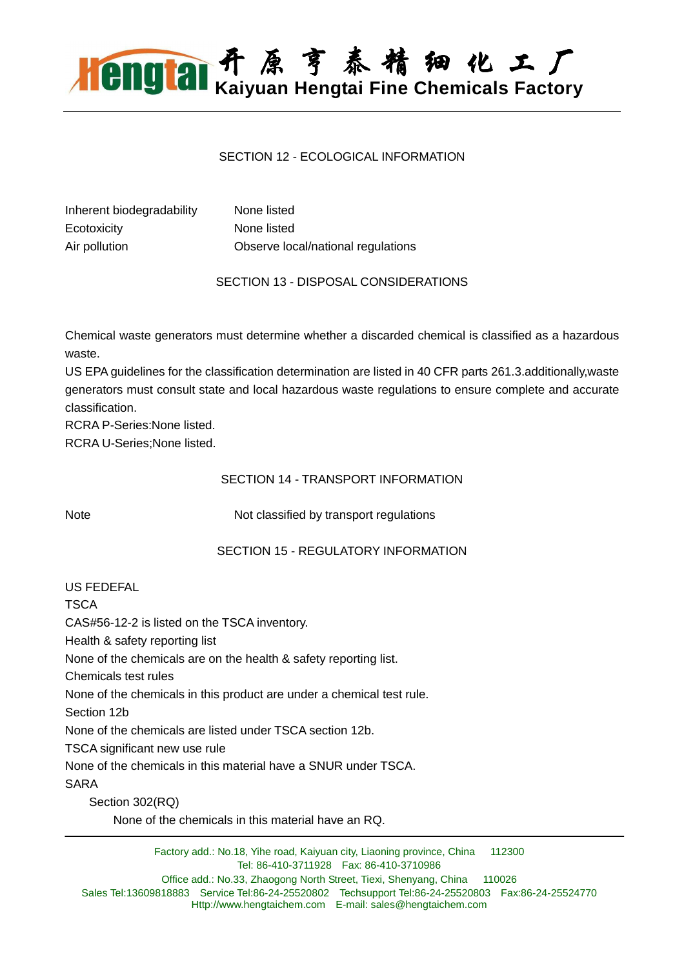## 开 原 亨 泰 精 细 化 工 厂 **Kaiyuan Hengtai Fine Chemicals Factory**

#### SECTION 12 - ECOLOGICAL **INFORMATION**

| Inherent biodegradability | None listed                        |
|---------------------------|------------------------------------|
| Ecotoxicity               | None listed                        |
| Air pollution             | Observe local/national regulations |

SECTION 13 - DISPOSAL CONSIDERATIONS

Chemical waste generators must determine whether a discarded chemical is classified as a hazardous waste.

US EPA guidelines for the classification determination are listed in 40 CFR parts 261.3.additionally,waste generators must consult state and local hazardous waste regulations to ensure complete and accurate classification.

RCRA P-Series:None listed.

RCRA U-Series;None listed.

#### SECTION 14 - TRANSPORT INFORMATION

Note Not classified by transport regulations

#### SECTION 15 - REGULATORY INFORMATION

| US FEDEFAL                                                            |
|-----------------------------------------------------------------------|
| TSCA                                                                  |
| CAS#56-12-2 is listed on the TSCA inventory.                          |
| Health & safety reporting list                                        |
| None of the chemicals are on the health & safety reporting list.      |
| Chemicals test rules                                                  |
| None of the chemicals in this product are under a chemical test rule. |
| Section 12b                                                           |
| None of the chemicals are listed under TSCA section 12b.              |
| TSCA significant new use rule                                         |
| None of the chemicals in this material have a SNUR under TSCA.        |
| SARA                                                                  |
| Section 302(RQ)                                                       |
| None of the chemicals in this material have an RQ.                    |

Factory add.: No.18, Yihe road, Kaiyuan city, Liaoning province, China 112300 Tel: 86-410-3711928 Fax: 86-410-3710986 Office add.: No.33, Zhaogong North Street, Tiexi, Shenyang, China 110026 Sales Tel:13609818883 Service Tel:86-24-25520802 Techsupport Tel:86-24-25520803 Fax:86-24-25524770 Http://www.hengtaichem.com E-mail: sales@hengtaichem.com